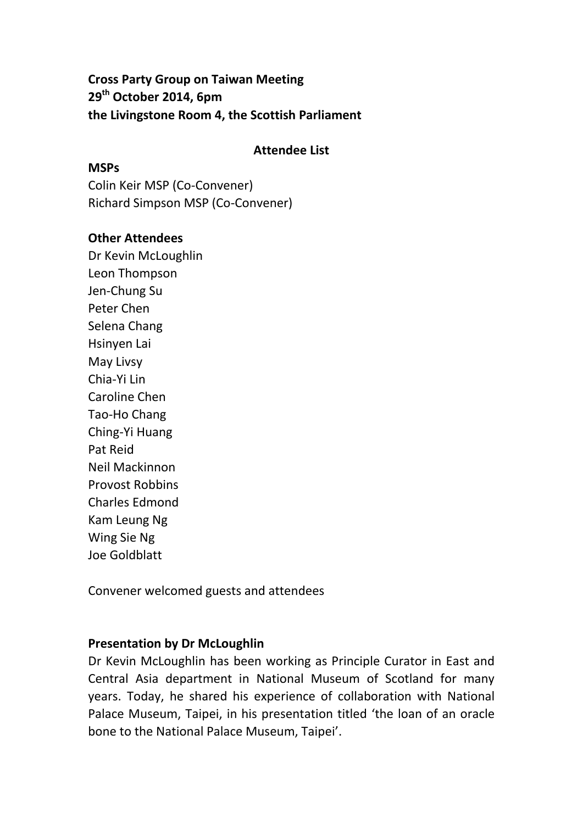**Cross Party Group on Taiwan Meeting 29th October 2014, 6pm the Livingstone Room 4, the Scottish Parliament**

## **Attendee List**

## **MSPs**

Colin Keir MSP (Co-Convener) Richard Simpson MSP (Co-Convener)

## **Other Attendees**

Dr Kevin McLoughlin Leon Thompson Jen-Chung Su Peter Chen Selena Chang Hsinyen Lai [May Livsy](https://www.facebook.com/may.livsey?fref=pb&hc_location=profile_browser) Chia-Yi Lin Caroline Chen Tao-Ho Chang Ching-Yi Huang Pat Reid Neil Mackinnon Provost Robbins Charles Edmond Kam Leung Ng Wing Sie Ng Joe Goldblatt

Convener welcomed guests and attendees

## **Presentation by Dr McLoughlin**

Dr Kevin McLoughlin has been working as Principle Curator in East and Central Asia department in National Museum of Scotland for many years. Today, he shared his experience of collaboration with National Palace Museum, Taipei, in his presentation titled 'the loan of an oracle bone to the National Palace Museum, Taipei'.